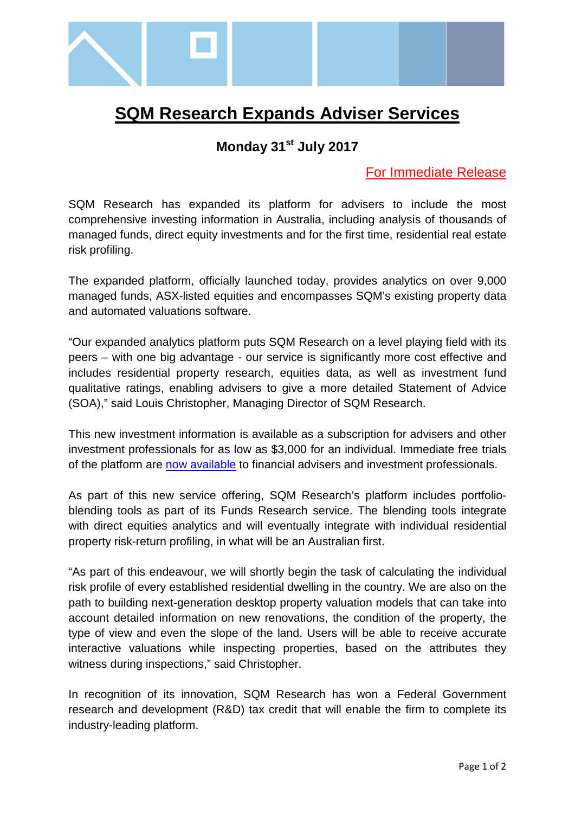

## **SQM Research Expands Adviser Services**

## **Monday 31st July 2017**

## For Immediate Release

SQM Research has expanded its platform for advisers to include the most comprehensive investing information in Australia, including analysis of thousands of managed funds, direct equity investments and for the first time, residential real estate risk profiling.

The expanded platform, officially launched today, provides analytics on over 9,000 managed funds, ASX-listed equities and encompasses SQM's existing property data and automated valuations software.

"Our expanded analytics platform puts SQM Research on a level playing field with its peers – with one big advantage - our service is significantly more cost effective and includes residential property research, equities data, as well as investment fund qualitative ratings, enabling advisers to give a more detailed Statement of Advice (SOA)," said Louis Christopher, Managing Director of SQM Research.

This new investment information is available as a subscription for advisers and other investment professionals for as low as \$3,000 for an individual. Immediate free trials of the platform are [now available](http://sqmratings.com.au/index-rating.php) to financial advisers and investment professionals.

As part of this new service offering, SQM Research's platform includes portfolioblending tools as part of its Funds Research service. The blending tools integrate with direct equities analytics and will eventually integrate with individual residential property risk-return profiling, in what will be an Australian first.

"As part of this endeavour, we will shortly begin the task of calculating the individual risk profile of every established residential dwelling in the country. We are also on the path to building next-generation desktop property valuation models that can take into account detailed information on new renovations, the condition of the property, the type of view and even the slope of the land. Users will be able to receive accurate interactive valuations while inspecting properties, based on the attributes they witness during inspections," said Christopher.

In recognition of its innovation, SQM Research has won a Federal Government research and development (R&D) tax credit that will enable the firm to complete its industry-leading platform.